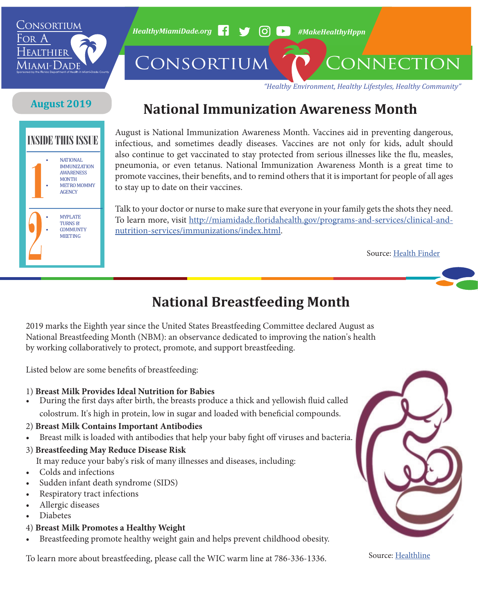

*HealthyMiamiDade.org* <sup>1</sup> → 6 (O) → #MakeHealthyHppn

CONSORTIUM CONNECTION

*"Healthy Environment, Healthy Lifestyles, Healthy Community"*

#### **August 2019**



# **National Immunization Awareness Month**

August is National Immunization Awareness Month. Vaccines aid in preventing dangerous, infectious, and sometimes deadly diseases. Vaccines are not only for kids, adult should also continue to get vaccinated to stay protected from serious illnesses like the flu, measles, pneumonia, or even tetanus. National Immunization Awareness Month is a great time to promote vaccines, their benefits, and to remind others that it is important for people of all ages to stay up to date on their vaccines.

Talk to your doctor or nurse to make sure that everyone in your family gets the shots they need. To learn more, visit [http://miamidade.floridahealth.gov/programs-and-services/clinical-and](http://miamidade.floridahealth.gov/programs-and-services/clinical-and-nutrition-services/immunizatio)[nutrition-services/immunizations/index.html](http://miamidade.floridahealth.gov/programs-and-services/clinical-and-nutrition-services/immunizatio).

Source: [Health Finder](https://healthfinder.gov/NHO/AugustToolkit.aspx)

# **National Breastfeeding Month**

2019 marks the Eighth year since the United States Breastfeeding Committee declared August as National Breastfeeding Month (NBM): an observance dedicated to improving the nation's health by working collaboratively to protect, promote, and support breastfeeding.

Listed below are some benefits of breastfeeding:

#### 1) **Breast Milk Provides Ideal Nutrition for Babies**

- During the first days after birth, the breasts produce a thick and yellowish fluid called colostrum. It's high in protein, low in sugar and loaded with beneficial compounds.
- 2) **Breast Milk Contains Important Antibodies**
- Breast milk is loaded with antibodies that help your baby fight off viruses and bacteria.
- 3) **Breastfeeding May Reduce Disease Risk** It may reduce your baby's risk of many illnesses and diseases, including:
- Colds and infections
- Sudden infant death syndrome (SIDS)
- Respiratory tract infections
- Allergic diseases
- Diabetes
- 4) **Breast Milk Promotes a Healthy Weight**
- Breastfeeding promote healthy weight gain and helps prevent childhood obesity.

To learn more about breastfeeding, please call the WIC warm line at 786-336-1336. Source: [Healthline](https://www.healthline.com/nutrition/11-benefits-of-breastfeeding)